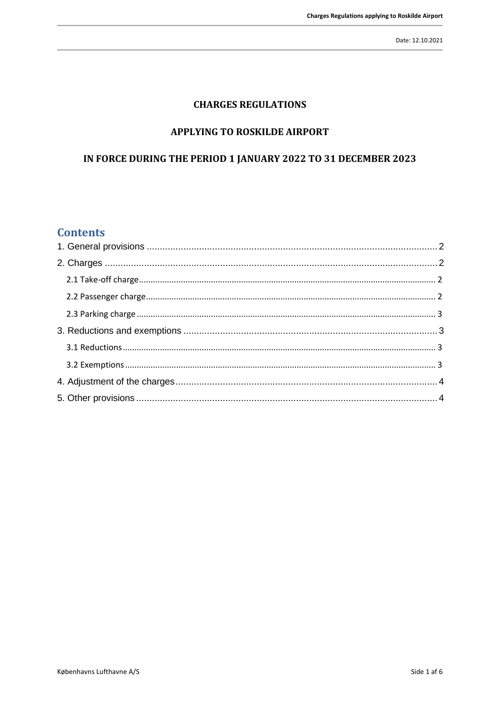### **CHARGES REGULATIONS**

#### APPLYING TO ROSKILDE AIRPORT

## IN FORCE DURING THE PERIOD 1 JANUARY 2022 TO 31 DECEMBER 2023

## **Contents**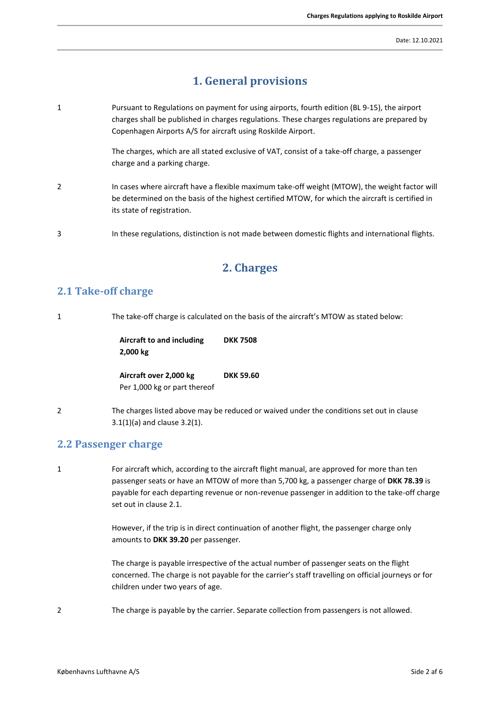# **1. General provisions**

<span id="page-1-0"></span>1 Pursuant to Regulations on payment for using airports, fourth edition (BL 9-15), the airport charges shall be published in charges regulations. These charges regulations are prepared by Copenhagen Airports A/S for aircraft using Roskilde Airport.

> The charges, which are all stated exclusive of VAT, consist of a take-off charge, a passenger charge and a parking charge.

- 2 In cases where aircraft have a flexible maximum take-off weight (MTOW), the weight factor will be determined on the basis of the highest certified MTOW, for which the aircraft is certified in its state of registration.
- <span id="page-1-1"></span>3 In these regulations, distinction is not made between domestic flights and international flights.

## **2. Charges**

#### <span id="page-1-2"></span>**2.1 Take-off charge**

1 The take-off charge is calculated on the basis of the aircraft's MTOW as stated below: **Aircraft to and including 2,000 kg DKK 7508 Aircraft over 2,000 kg** Per 1,000 kg or part thereof **DKK 59.60** 2 The charges listed above may be reduced or waived under the conditions set out in clause

#### <span id="page-1-3"></span>**2.2 Passenger charge**

3.1(1)(a) and clause 3.2(1).

1 For aircraft which, according to the aircraft flight manual, are approved for more than ten passenger seats or have an MTOW of more than 5,700 kg, a passenger charge of **DKK 78.39** is payable for each departing revenue or non-revenue passenger in addition to the take-off charge set out in clause 2.1.

> However, if the trip is in direct continuation of another flight, the passenger charge only amounts to **DKK 39.20** per passenger.

The charge is payable irrespective of the actual number of passenger seats on the flight concerned. The charge is not payable for the carrier's staff travelling on official journeys or for children under two years of age.

2 The charge is payable by the carrier. Separate collection from passengers is not allowed.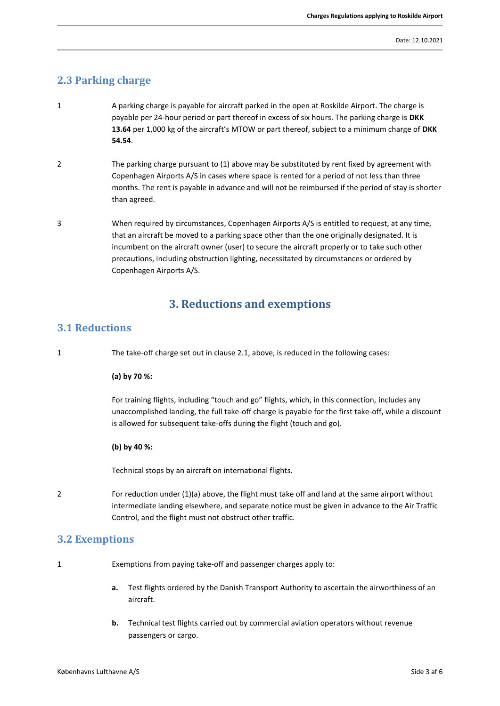## <span id="page-2-0"></span>**2.3 Parking charge**

- 1 A parking charge is payable for aircraft parked in the open at Roskilde Airport. The charge is payable per 24-hour period or part thereof in excess of six hours. The parking charge is **DKK 13.64** per 1,000 kg of the aircraft's MTOW or part thereof, subject to a minimum charge of **DKK 54.54**.
- 2 The parking charge pursuant to (1) above may be substituted by rent fixed by agreement with Copenhagen Airports A/S in cases where space is rented for a period of not less than three months. The rent is payable in advance and will not be reimbursed if the period of stay is shorter than agreed.
- 3 When required by circumstances, Copenhagen Airports A/S is entitled to request, at any time, that an aircraft be moved to a parking space other than the one originally designated. It is incumbent on the aircraft owner (user) to secure the aircraft properly or to take such other precautions, including obstruction lighting, necessitated by circumstances or ordered by Copenhagen Airports A/S.

## **3. Reductions and exemptions**

### <span id="page-2-2"></span><span id="page-2-1"></span>**3.1 Reductions**

1 The take-off charge set out in clause 2.1, above, is reduced in the following cases:

#### **(a) by 70 %:**

For training flights, including "touch and go" flights, which, in this connection, includes any unaccomplished landing, the full take-off charge is payable for the first take-off, while a discount is allowed for subsequent take-offs during the flight (touch and go).

#### **(b) by 40 %:**

Technical stops by an aircraft on international flights.

2 For reduction under (1)(a) above, the flight must take off and land at the same airport without intermediate landing elsewhere, and separate notice must be given in advance to the Air Traffic Control, and the flight must not obstruct other traffic.

#### <span id="page-2-3"></span>**3.2 Exemptions**

1 Exemptions from paying take-off and passenger charges apply to:

- **a.** Test flights ordered by the Danish Transport Authority to ascertain the airworthiness of an aircraft.
- **b.** Technical test flights carried out by commercial aviation operators without revenue passengers or cargo.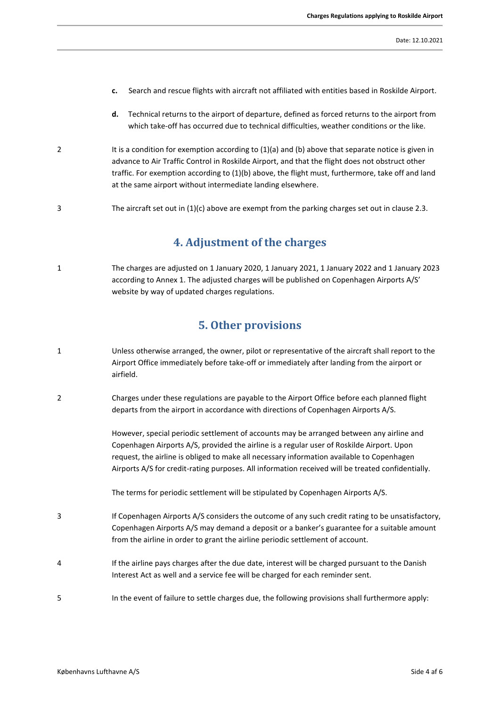- **c.** Search and rescue flights with aircraft not affiliated with entities based in Roskilde Airport.
- **d.** Technical returns to the airport of departure, defined as forced returns to the airport from which take-off has occurred due to technical difficulties, weather conditions or the like.
- 2 It is a condition for exemption according to  $(1)(a)$  and  $(b)$  above that separate notice is given in advance to Air Traffic Control in Roskilde Airport, and that the flight does not obstruct other traffic. For exemption according to (1)(b) above, the flight must, furthermore, take off and land at the same airport without intermediate landing elsewhere.
- <span id="page-3-0"></span>3 The aircraft set out in (1)(c) above are exempt from the parking charges set out in clause 2.3.

## **4. Adjustment of the charges**

<span id="page-3-1"></span>1 The charges are adjusted on 1 January 2020, 1 January 2021, 1 January 2022 and 1 January 2023 according to Annex 1. The adjusted charges will be published on Copenhagen Airports A/S' website by way of updated charges regulations.

## **5. Other provisions**

- 1 Unless otherwise arranged, the owner, pilot or representative of the aircraft shall report to the Airport Office immediately before take-off or immediately after landing from the airport or airfield.
- 2 Charges under these regulations are payable to the Airport Office before each planned flight departs from the airport in accordance with directions of Copenhagen Airports A/S.

However, special periodic settlement of accounts may be arranged between any airline and Copenhagen Airports A/S, provided the airline is a regular user of Roskilde Airport. Upon request, the airline is obliged to make all necessary information available to Copenhagen Airports A/S for credit-rating purposes. All information received will be treated confidentially.

The terms for periodic settlement will be stipulated by Copenhagen Airports A/S.

- 3 If Copenhagen Airports A/S considers the outcome of any such credit rating to be unsatisfactory, Copenhagen Airports A/S may demand a deposit or a banker's guarantee for a suitable amount from the airline in order to grant the airline periodic settlement of account.
- 4 If the airline pays charges after the due date, interest will be charged pursuant to the Danish Interest Act as well and a service fee will be charged for each reminder sent.
- 5 In the event of failure to settle charges due, the following provisions shall furthermore apply: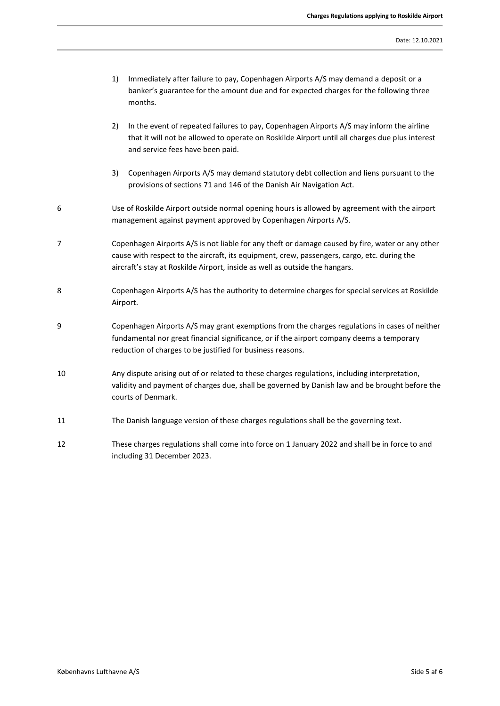- 1) Immediately after failure to pay, Copenhagen Airports A/S may demand a deposit or a banker's guarantee for the amount due and for expected charges for the following three months.
- 2) In the event of repeated failures to pay, Copenhagen Airports A/S may inform the airline that it will not be allowed to operate on Roskilde Airport until all charges due plus interest and service fees have been paid.
- 3) Copenhagen Airports A/S may demand statutory debt collection and liens pursuant to the provisions of sections 71 and 146 of the Danish Air Navigation Act.
- 6 Use of Roskilde Airport outside normal opening hours is allowed by agreement with the airport management against payment approved by Copenhagen Airports A/S.
- 7 Copenhagen Airports A/S is not liable for any theft or damage caused by fire, water or any other cause with respect to the aircraft, its equipment, crew, passengers, cargo, etc. during the aircraft's stay at Roskilde Airport, inside as well as outside the hangars.
- 8 Copenhagen Airports A/S has the authority to determine charges for special services at Roskilde Airport.
- 9 Copenhagen Airports A/S may grant exemptions from the charges regulations in cases of neither fundamental nor great financial significance, or if the airport company deems a temporary reduction of charges to be justified for business reasons.
- 10 Any dispute arising out of or related to these charges regulations, including interpretation, validity and payment of charges due, shall be governed by Danish law and be brought before the courts of Denmark.
- 11 The Danish language version of these charges regulations shall be the governing text.
- 12 These charges regulations shall come into force on 1 January 2022 and shall be in force to and including 31 December 2023.